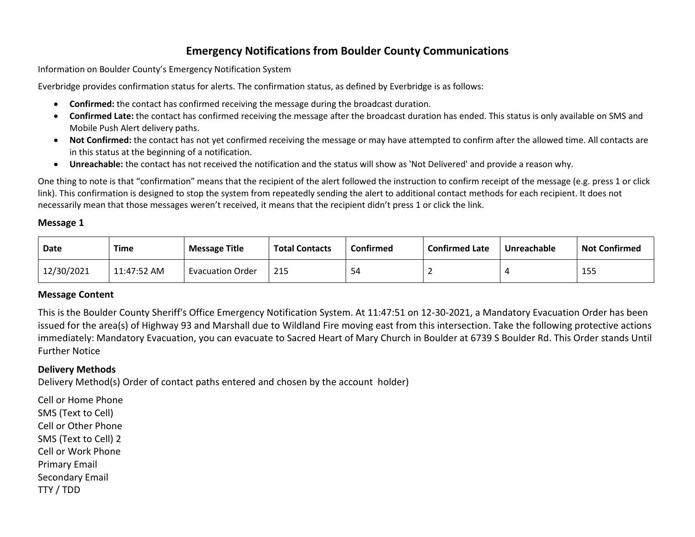# **Emergency Notifications from Boulder County Communications**

Information on Boulder County's Emergency Notification System

Everbridge provides confirmation status for alerts. The confirmation status, as defined by Everbridge is as follows:

- **Confirmed:** the contact has confirmed receiving the message during the broadcast duration.
- **Confirmed Late:** the contact has confirmed receiving the message after the broadcast duration has ended. This status is only available on SMS and Mobile Push Alert delivery paths.
- **Not Confirmed:** the contact has not yet confirmed receiving the message or may have attempted to confirm after the allowed time. All contacts are in this status at the beginning of a notification.
- **Unreachable:** the contact has not received the notification and the status will show as 'Not Delivered' and provide a reason why.

One thing to note is that "confirmation" means that the recipient of the alert followed the instruction to confirm receipt of the message (e.g. press 1 or click link). This confirmation is designed to stop the system from repeatedly sending the alert to additional contact methods for each recipient. It does not necessarily mean that those messages weren't received, it means that the recipient didn't press 1 or click the link.

# **Message 1**

| Date       | Time        | <b>Message Title</b>    | <b>Total Contacts</b> | Confirmed | <b>Confirmed Late</b> | Unreachable | <b>Not Confirmed</b> |
|------------|-------------|-------------------------|-----------------------|-----------|-----------------------|-------------|----------------------|
| 12/30/2021 | 11:47:52 AM | <b>Evacuation Order</b> | 215                   | 54        |                       |             | 15.                  |

## **Message Content**

This is the Boulder County Sheriff's Office Emergency Notification System. At 11:47:51 on 12-30-2021, a Mandatory Evacuation Order has been issued for the area(s) of Highway 93 and Marshall due to Wildland Fire moving east from this intersection. Take the following protective actions immediately: Mandatory Evacuation, you can evacuate to Sacred Heart of Mary Church in Boulder at 6739 S Boulder Rd. This Order stands Until Further Notice

# **Delivery Methods**

Delivery Method(s) Order of contact paths entered and chosen by the account holder)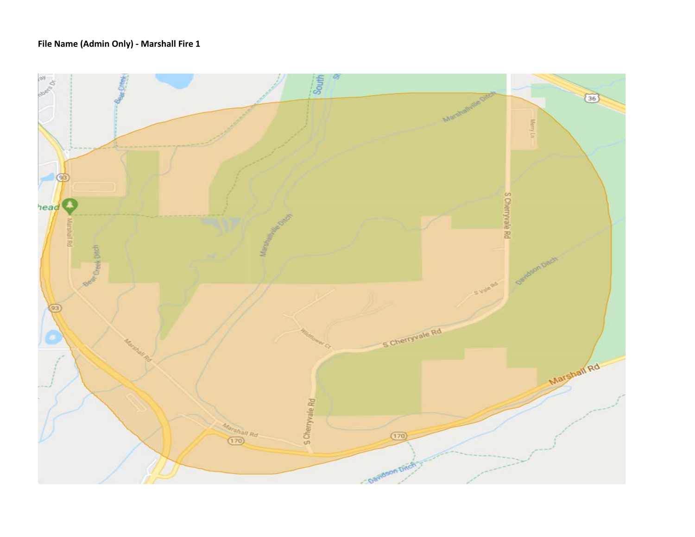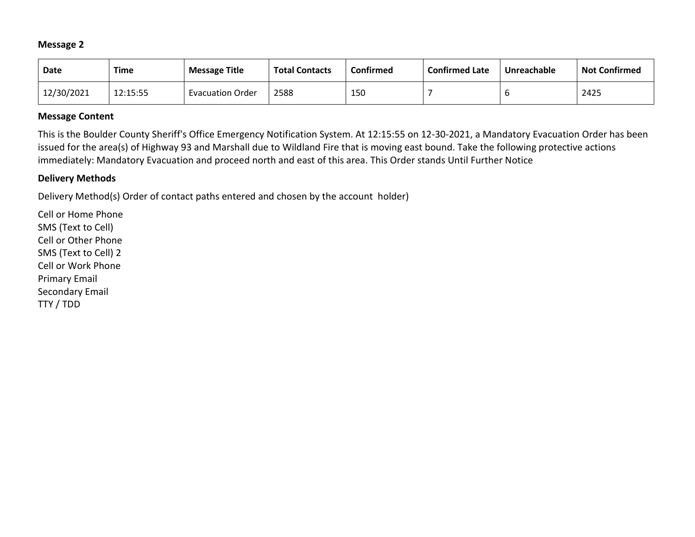| <b>Date</b> | <b>Time</b> | <b>Message Title</b>    | <b>Total Contacts</b> | Confirmed | <b>Confirmed Late</b> | Unreachable | <b>Not Confirmed</b> |
|-------------|-------------|-------------------------|-----------------------|-----------|-----------------------|-------------|----------------------|
| 12/30/2021  | 12:15:55    | <b>Evacuation Order</b> | 2588                  | 150       |                       |             | 2425                 |

### **Message Content**

This is the Boulder County Sheriff's Office Emergency Notification System. At 12:15:55 on 12-30-2021, a Mandatory Evacuation Order has been issued for the area(s) of Highway 93 and Marshall due to Wildland Fire that is moving east bound. Take the following protective actions immediately: Mandatory Evacuation and proceed north and east of this area. This Order stands Until Further Notice

### **Delivery Methods**

Delivery Method(s) Order of contact paths entered and chosen by the account holder)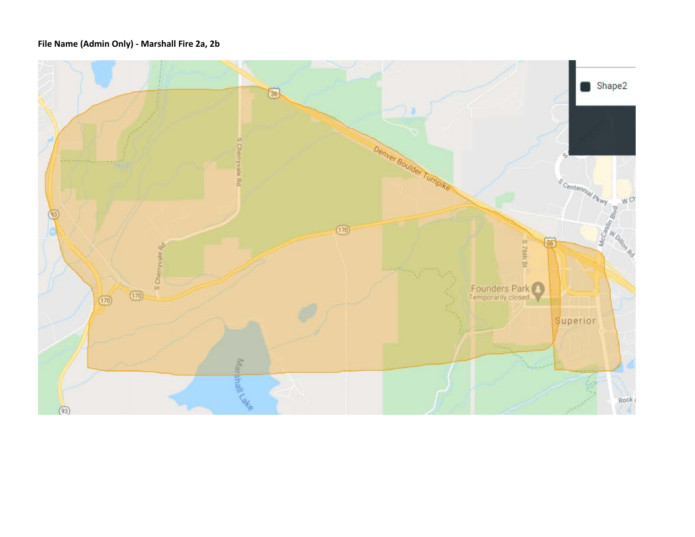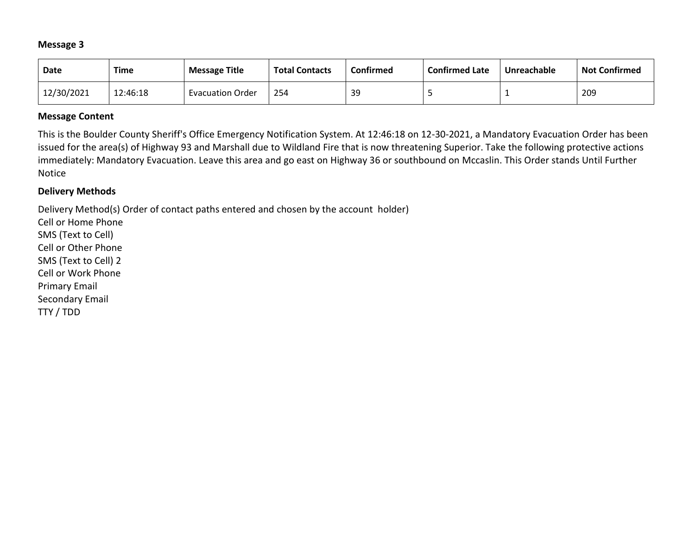| <b>Date</b> | <b>Time</b> | <b>Message Title</b>    | <b>Total Contacts</b> | Confirmed | <b>Confirmed Late</b> | Unreachable | <b>Not Confirmed</b> |
|-------------|-------------|-------------------------|-----------------------|-----------|-----------------------|-------------|----------------------|
| 12/30/2021  | 12:46:18    | <b>Evacuation Order</b> | 254                   | 39        |                       |             | 209                  |

### **Message Content**

This is the Boulder County Sheriff's Office Emergency Notification System. At 12:46:18 on 12-30-2021, a Mandatory Evacuation Order has been issued for the area(s) of Highway 93 and Marshall due to Wildland Fire that is now threatening Superior. Take the following protective actions immediately: Mandatory Evacuation. Leave this area and go east on Highway 36 or southbound on Mccaslin. This Order stands Until Further Notice

### **Delivery Methods**

Delivery Method(s) Order of contact paths entered and chosen by the account holder)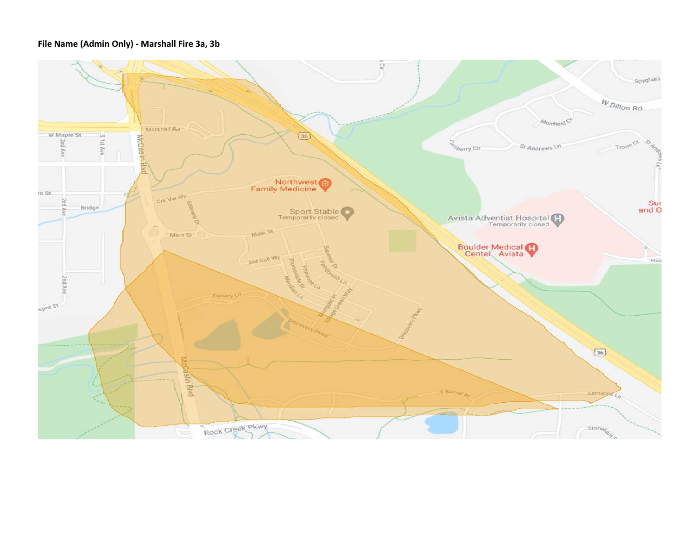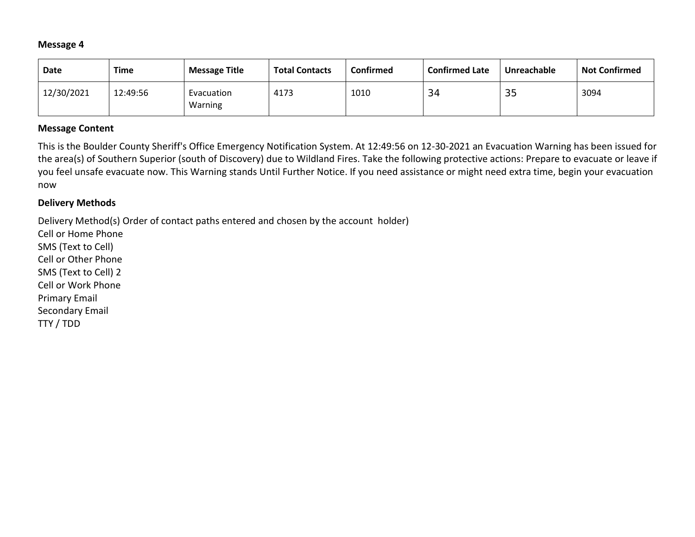| Date       | <b>Time</b> | <b>Message Title</b>  | <b>Total Contacts</b> | <b>Confirmed</b> | <b>Confirmed Late</b> | Unreachable | <b>Not Confirmed</b> |
|------------|-------------|-----------------------|-----------------------|------------------|-----------------------|-------------|----------------------|
| 12/30/2021 | 12:49:56    | Evacuation<br>Warning | 4173                  | 1010             | 34                    | 35          | 3094                 |

### **Message Content**

This is the Boulder County Sheriff's Office Emergency Notification System. At 12:49:56 on 12-30-2021 an Evacuation Warning has been issued for the area(s) of Southern Superior (south of Discovery) due to Wildland Fires. Take the following protective actions: Prepare to evacuate or leave if you feel unsafe evacuate now. This Warning stands Until Further Notice. If you need assistance or might need extra time, begin your evacuation now

### **Delivery Methods**

Delivery Method(s) Order of contact paths entered and chosen by the account holder)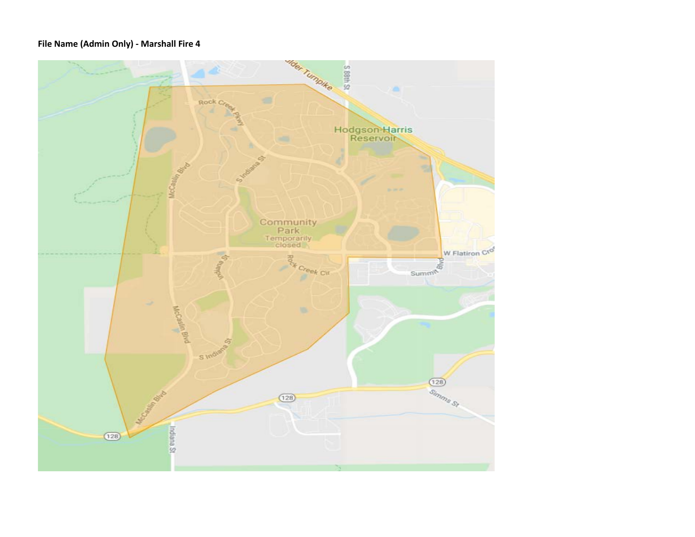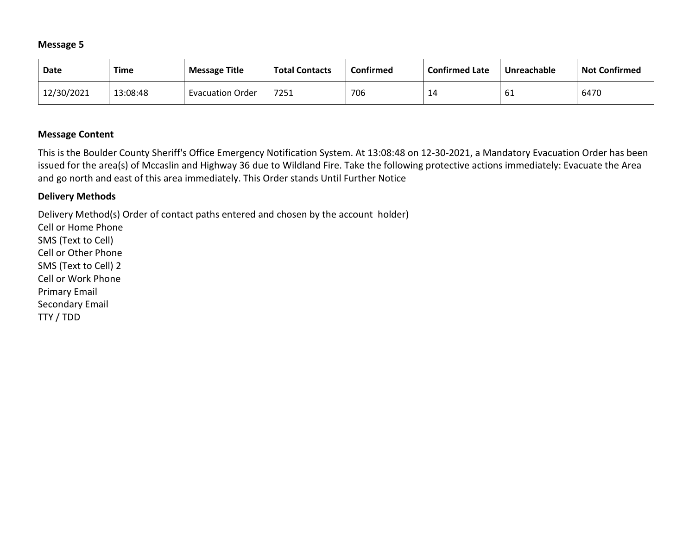| Date       | Time     | <b>Message Title</b>    | <b>Total Contacts</b> | Confirmed | <b>Confirmed Late</b> | Unreachable | <b>Not Confirmed</b> |
|------------|----------|-------------------------|-----------------------|-----------|-----------------------|-------------|----------------------|
| 12/30/2021 | 13:08:48 | <b>Evacuation Order</b> | 7251                  | 706       | 14                    | bТ          | 6470                 |

## **Message Content**

This is the Boulder County Sheriff's Office Emergency Notification System. At 13:08:48 on 12-30-2021, a Mandatory Evacuation Order has been issued for the area(s) of Mccaslin and Highway 36 due to Wildland Fire. Take the following protective actions immediately: Evacuate the Area and go north and east of this area immediately. This Order stands Until Further Notice

### **Delivery Methods**

Delivery Method(s) Order of contact paths entered and chosen by the account holder)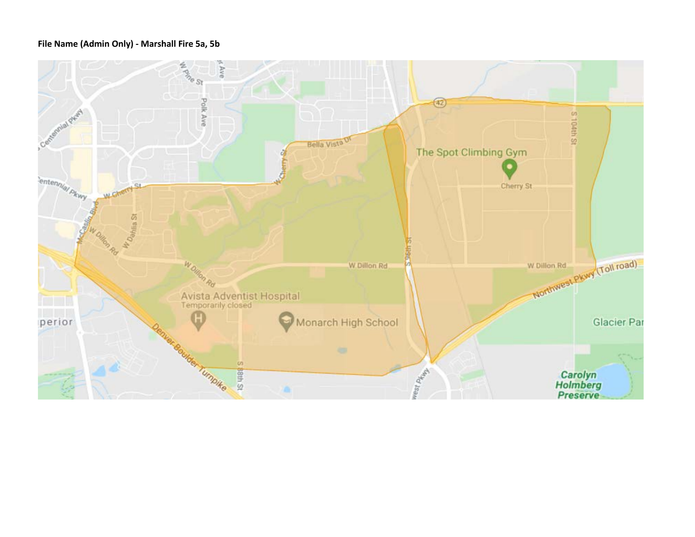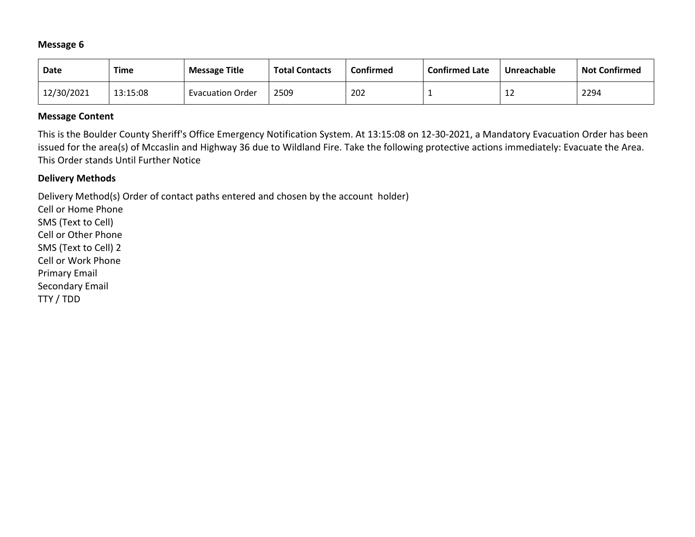| Date       | <b>Time</b> | <b>Message Title</b>    | <b>Total Contacts</b> | <b>Confirmed</b> | <b>Confirmed Late</b> | Unreachable | <b>Not Confirmed</b> |
|------------|-------------|-------------------------|-----------------------|------------------|-----------------------|-------------|----------------------|
| 12/30/2021 | 13:15:08    | <b>Evacuation Order</b> | 2509                  | 202              |                       | ∸           | 2294                 |

### **Message Content**

This is the Boulder County Sheriff's Office Emergency Notification System. At 13:15:08 on 12-30-2021, a Mandatory Evacuation Order has been issued for the area(s) of Mccaslin and Highway 36 due to Wildland Fire. Take the following protective actions immediately: Evacuate the Area. This Order stands Until Further Notice

### **Delivery Methods**

Delivery Method(s) Order of contact paths entered and chosen by the account holder)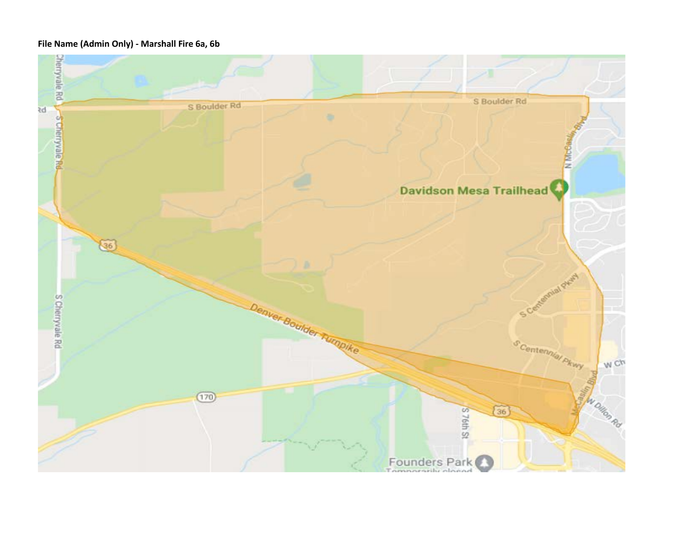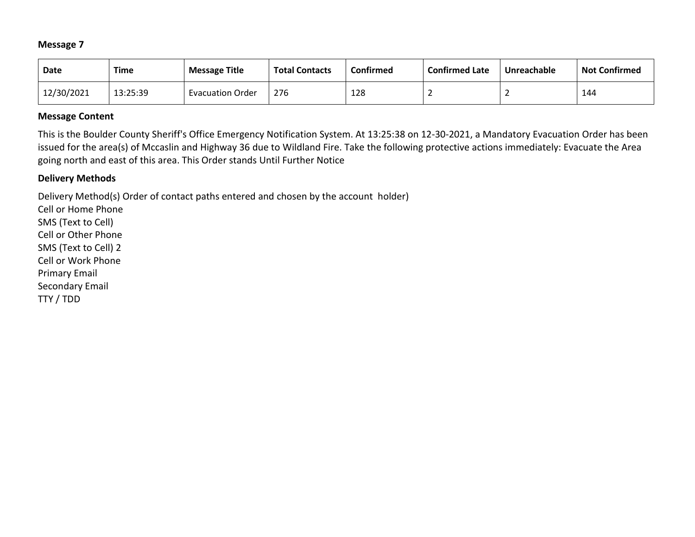| Date       | Time     | <b>Message Title</b>    | <b>Total Contacts</b> | Confirmed | <b>Confirmed Late</b> | Unreachable | <b>Not Confirmed</b> |
|------------|----------|-------------------------|-----------------------|-----------|-----------------------|-------------|----------------------|
| 12/30/2021 | 13:25:39 | <b>Evacuation Order</b> | 276                   | 128       |                       |             | 144                  |

### **Message Content**

This is the Boulder County Sheriff's Office Emergency Notification System. At 13:25:38 on 12-30-2021, a Mandatory Evacuation Order has been issued for the area(s) of Mccaslin and Highway 36 due to Wildland Fire. Take the following protective actions immediately: Evacuate the Area going north and east of this area. This Order stands Until Further Notice

## **Delivery Methods**

Delivery Method(s) Order of contact paths entered and chosen by the account holder)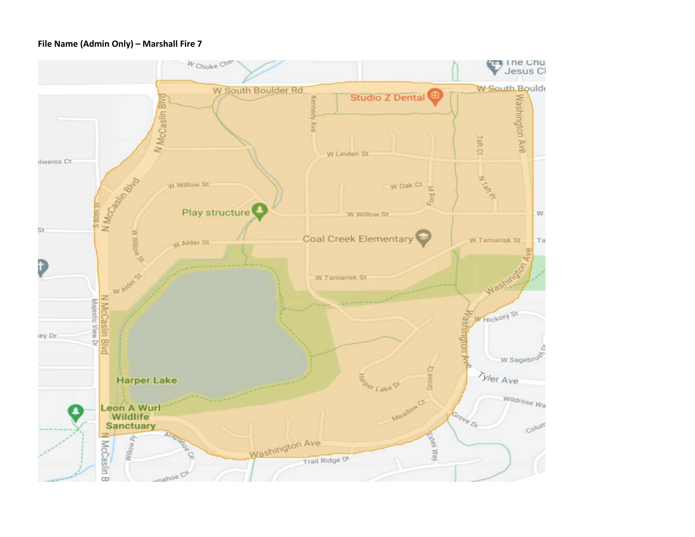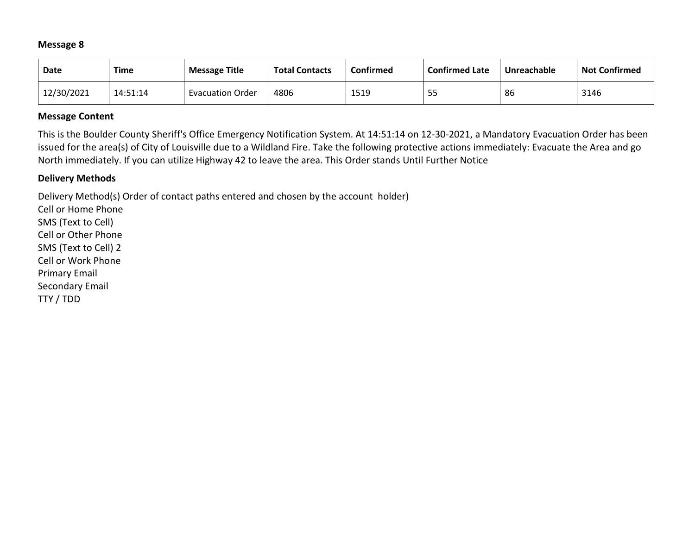| <b>Date</b> | Time     | <b>Message Title</b>    | <b>Total Contacts</b> | Confirmed | <b>Confirmed Late</b>  | Unreachable | <b>Not Confirmed</b> |
|-------------|----------|-------------------------|-----------------------|-----------|------------------------|-------------|----------------------|
| 12/30/2021  | 14:51:14 | <b>Evacuation Order</b> | 4806                  | 1519      | <u>г п</u><br><u>.</u> | 86          | 3146                 |

### **Message Content**

This is the Boulder County Sheriff's Office Emergency Notification System. At 14:51:14 on 12-30-2021, a Mandatory Evacuation Order has been issued for the area(s) of City of Louisville due to a Wildland Fire. Take the following protective actions immediately: Evacuate the Area and go North immediately. If you can utilize Highway 42 to leave the area. This Order stands Until Further Notice

### **Delivery Methods**

Delivery Method(s) Order of contact paths entered and chosen by the account holder)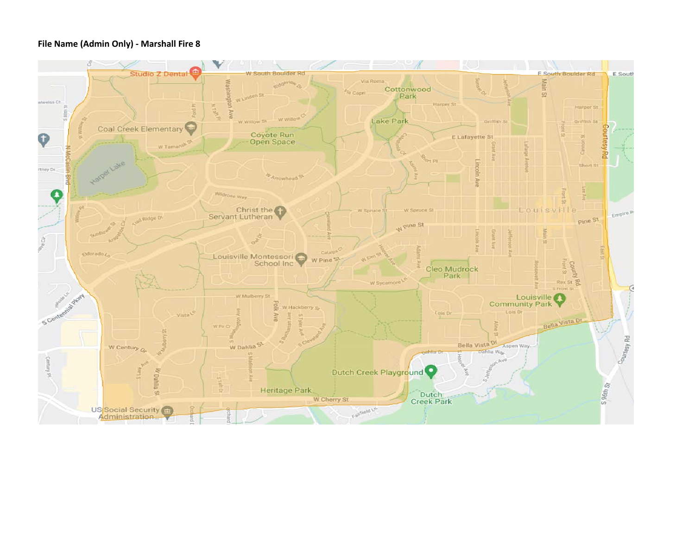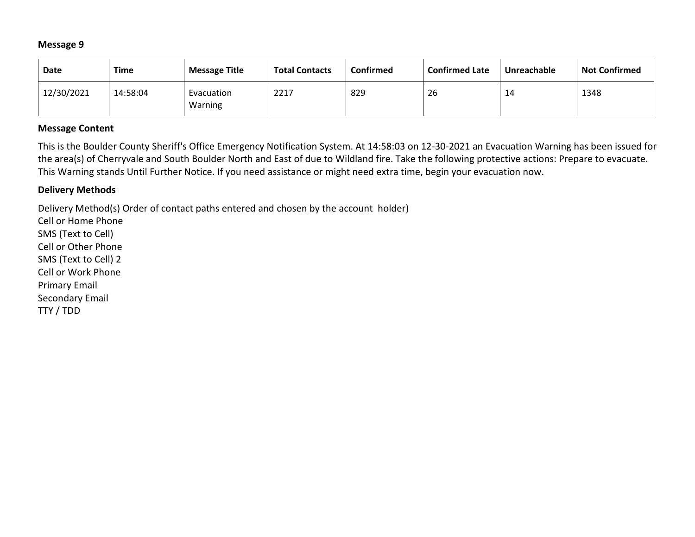| Date       | Time     | <b>Message Title</b>  | <b>Total Contacts</b> | Confirmed | <b>Confirmed Late</b> | Unreachable | <b>Not Confirmed</b> |
|------------|----------|-----------------------|-----------------------|-----------|-----------------------|-------------|----------------------|
| 12/30/2021 | 14:58:04 | Evacuation<br>Warning | 2217                  | 829       | 26                    | 14          | 1348                 |

### **Message Content**

This is the Boulder County Sheriff's Office Emergency Notification System. At 14:58:03 on 12-30-2021 an Evacuation Warning has been issued for the area(s) of Cherryvale and South Boulder North and East of due to Wildland fire. Take the following protective actions: Prepare to evacuate. This Warning stands Until Further Notice. If you need assistance or might need extra time, begin your evacuation now.

### **Delivery Methods**

Delivery Method(s) Order of contact paths entered and chosen by the account holder)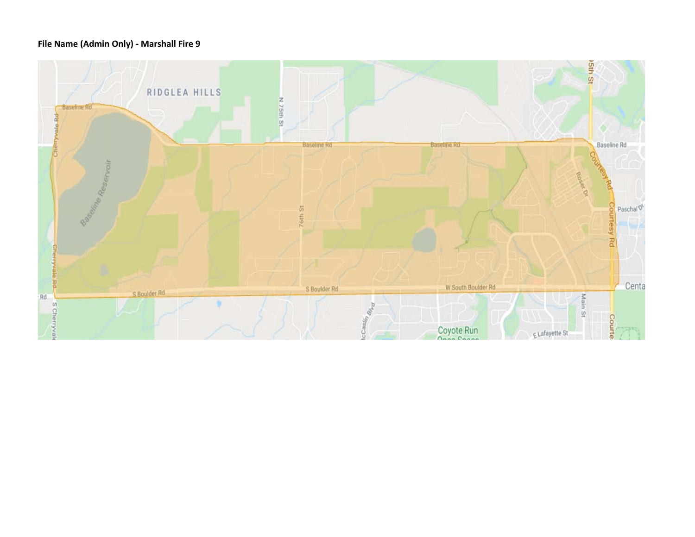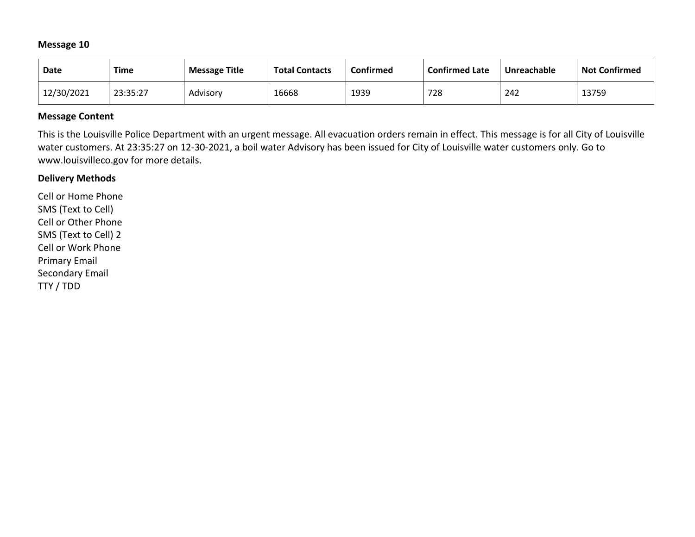| Date       | Time     | <b>Message Title</b> | <b>Total Contacts</b> | Confirmed | <b>Confirmed Late</b> | Unreachable | <b>Not Confirmed</b> |
|------------|----------|----------------------|-----------------------|-----------|-----------------------|-------------|----------------------|
| 12/30/2021 | 23:35:27 | Advisorv             | 16668                 | 1939      | 728                   | 242         | 13759                |

## **Message Content**

This is the Louisville Police Department with an urgent message. All evacuation orders remain in effect. This message is for all City of Louisville water customers. At 23:35:27 on 12-30-2021, a boil water Advisory has been issued for City of Louisville water customers only. Go to www.louisvilleco.gov for more details.

### **Delivery Methods**